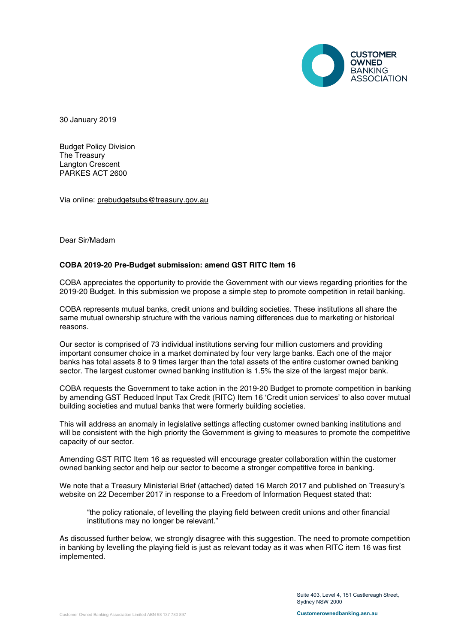

30 January 2019

Budget Policy Division The Treasury Langton Crescent PARKES ACT 2600

Via online: [prebudgetsubs@treasury.gov.au](mailto:prebudgetsubs@treasury.gov.au)

Dear Sir/Madam

#### **COBA 2019-20 Pre-Budget submission: amend GST RITC Item 16**

COBA appreciates the opportunity to provide the Government with our views regarding priorities for the 2019-20 Budget. In this submission we propose a simple step to promote competition in retail banking.

COBA represents mutual banks, credit unions and building societies. These institutions all share the same mutual ownership structure with the various naming differences due to marketing or historical reasons.

Our sector is comprised of 73 individual institutions serving four million customers and providing important consumer choice in a market dominated by four very large banks. Each one of the major banks has total assets 8 to 9 times larger than the total assets of the entire customer owned banking sector. The largest customer owned banking institution is 1.5% the size of the largest major bank.

COBA requests the Government to take action in the 2019-20 Budget to promote competition in banking by amending GST Reduced Input Tax Credit (RITC) Item 16 'Credit union services' to also cover mutual building societies and mutual banks that were formerly building societies.

This will address an anomaly in legislative settings affecting customer owned banking institutions and will be consistent with the high priority the Government is giving to measures to promote the competitive capacity of our sector.

Amending GST RITC Item 16 as requested will encourage greater collaboration within the customer owned banking sector and help our sector to become a stronger competitive force in banking.

We note that a Treasury Ministerial Brief (attached) dated 16 March 2017 and published on Treasury's website on 22 December 2017 in response to a Freedom of Information Request stated that:

"the policy rationale, of levelling the playing field between credit unions and other financial institutions may no longer be relevant."

As discussed further below, we strongly disagree with this suggestion. The need to promote competition in banking by levelling the playing field is just as relevant today as it was when RITC item 16 was first implemented.

> Suite 403, Level 4, 151 Castlereagh Street, Sydney NSW 2000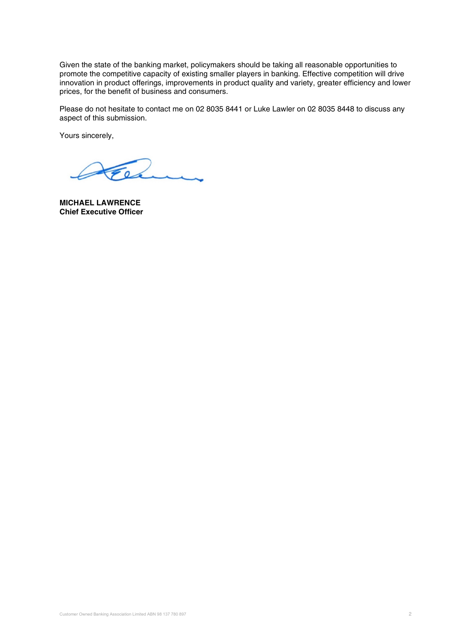Given the state of the banking market, policymakers should be taking all reasonable opportunities to promote the competitive capacity of existing smaller players in banking. Effective competition will drive innovation in product offerings, improvements in product quality and variety, greater efficiency and lower prices, for the benefit of business and consumers.

Please do not hesitate to contact me on 02 8035 8441 or Luke Lawler on 02 8035 8448 to discuss any aspect of this submission.

Yours sincerely,

 $\overline{\phantom{a}}$ 

**MICHAEL LAWRENCE Chief Executive Officer**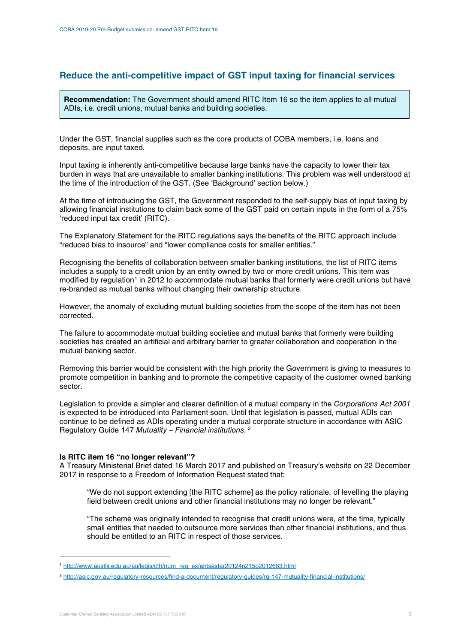# **Reduce the anti-competitive impact of GST input taxing for financial services**

**Recommendation:** The Government should amend RITC Item 16 so the item applies to all mutual ADIs, i.e. credit unions, mutual banks and building societies.

Under the GST, financial supplies such as the core products of COBA members, i.e. loans and deposits, are input taxed.

Input taxing is inherently anti-competitive because large banks have the capacity to lower their tax burden in ways that are unavailable to smaller banking institutions. This problem was well understood at the time of the introduction of the GST. (See 'Background' section below.)

At the time of introducing the GST, the Government responded to the self-supply bias of input taxing by allowing financial institutions to claim back some of the GST paid on certain inputs in the form of a 75% 'reduced input tax credit' (RITC).

The Explanatory Statement for the RITC regulations says the benefits of the RITC approach include "reduced bias to insource" and "lower compliance costs for smaller entities."

Recognising the benefits of collaboration between smaller banking institutions, the list of RITC items includes a supply to a credit union by an entity owned by two or more credit unions. This item was modified by regulation<sup>[1](#page-2-0)</sup> in 2012 to accommodate mutual banks that formerly were credit unions but have re-branded as mutual banks without changing their ownership structure.

However, the anomaly of excluding mutual building societies from the scope of the item has not been corrected.

The failure to accommodate mutual building societies and mutual banks that formerly were building societies has created an artificial and arbitrary barrier to greater collaboration and cooperation in the mutual banking sector.

Removing this barrier would be consistent with the high priority the Government is giving to measures to promote competition in banking and to promote the competitive capacity of the customer owned banking sector.

Legislation to provide a simpler and clearer definition of a mutual company in the *Corporations Act 2001* is expected to be introduced into Parliament soon. Until that legislation is passed, mutual ADIs can continue to be defined as ADIs operating under a mutual corporate structure in accordance with ASIC Regulatory Guide 147 *Mutuality – Financial institutions. [2](#page-2-1)*

#### **Is RITC item 16 "no longer relevant"?**

A Treasury Ministerial Brief dated 16 March 2017 and published on Treasury's website on 22 December 2017 in response to a Freedom of Information Request stated that:

"We do not support extending [the RITC scheme] as the policy rationale, of levelling the playing field between credit unions and other financial institutions may no longer be relevant."

"The scheme was originally intended to recognise that credit unions were, at the time, typically small entities that needed to outsource more services than other financial institutions, and thus should be entitled to an RITC in respect of those services.

-

<span id="page-2-0"></span><sup>1</sup> [http://www.austlii.edu.au/au/legis/cth/num\\_reg\\_es/antsastar20124n215o2012683.html](http://www.austlii.edu.au/au/legis/cth/num_reg_es/antsastar20124n215o2012683.html)

<span id="page-2-1"></span><sup>2</sup> <http://asic.gov.au/regulatory-resources/find-a-document/regulatory-guides/rg-147-mutuality-financial-institutions/>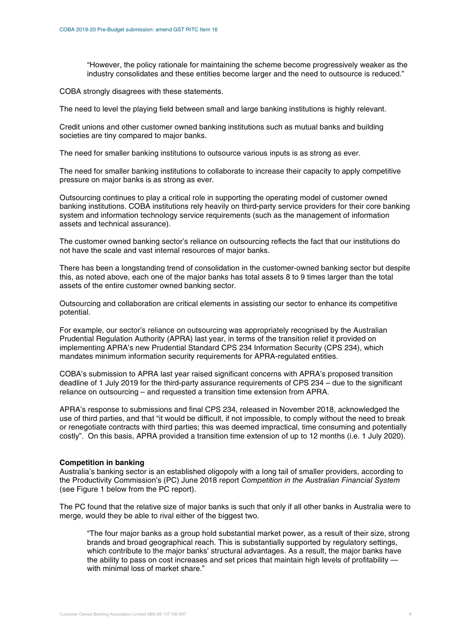"However, the policy rationale for maintaining the scheme become progressively weaker as the industry consolidates and these entities become larger and the need to outsource is reduced."

COBA strongly disagrees with these statements.

The need to level the playing field between small and large banking institutions is highly relevant.

Credit unions and other customer owned banking institutions such as mutual banks and building societies are tiny compared to major banks.

The need for smaller banking institutions to outsource various inputs is as strong as ever.

The need for smaller banking institutions to collaborate to increase their capacity to apply competitive pressure on major banks is as strong as ever.

Outsourcing continues to play a critical role in supporting the operating model of customer owned banking institutions. COBA institutions rely heavily on third-party service providers for their core banking system and information technology service requirements (such as the management of information assets and technical assurance).

The customer owned banking sector's reliance on outsourcing reflects the fact that our institutions do not have the scale and vast internal resources of major banks.

There has been a longstanding trend of consolidation in the customer-owned banking sector but despite this, as noted above, each one of the major banks has total assets 8 to 9 times larger than the total assets of the entire customer owned banking sector.

Outsourcing and collaboration are critical elements in assisting our sector to enhance its competitive potential.

For example, our sector's reliance on outsourcing was appropriately recognised by the Australian Prudential Regulation Authority (APRA) last year, in terms of the transition relief it provided on implementing APRA's new Prudential Standard CPS 234 Information Security (CPS 234), which mandates minimum information security requirements for APRA-regulated entities.

COBA's submission to APRA last year raised significant concerns with APRA's proposed transition deadline of 1 July 2019 for the third-party assurance requirements of CPS 234 – due to the significant reliance on outsourcing – and requested a transition time extension from APRA.

APRA's response to submissions and final CPS 234, released in November 2018, acknowledged the use of third parties, and that "it would be difficult, if not impossible, to comply without the need to break or renegotiate contracts with third parties; this was deemed impractical, time consuming and potentially costly". On this basis, APRA provided a transition time extension of up to 12 months (i.e. 1 July 2020).

#### **Competition in banking**

Australia's banking sector is an established oligopoly with a long tail of smaller providers, according to the Productivity Commission's (PC) June 2018 report *Competition in the Australian Financial System* (see Figure 1 below from the PC report).

The PC found that the relative size of major banks is such that only if all other banks in Australia were to merge, would they be able to rival either of the biggest two.

"The four major banks as a group hold substantial market power, as a result of their size, strong brands and broad geographical reach. This is substantially supported by regulatory settings, which contribute to the major banks' structural advantages. As a result, the major banks have the ability to pass on cost increases and set prices that maintain high levels of profitability with minimal loss of market share."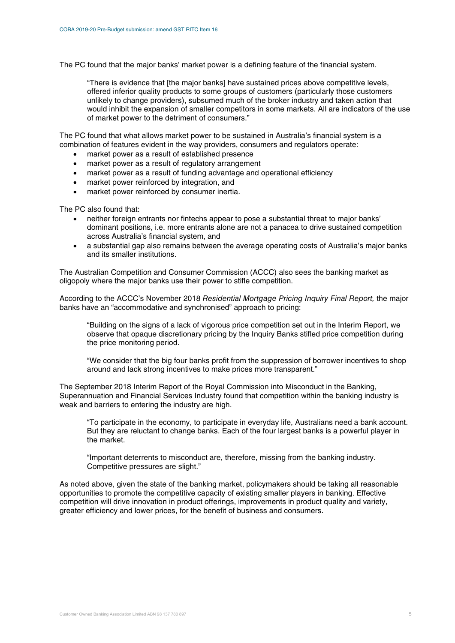The PC found that the major banks' market power is a defining feature of the financial system.

"There is evidence that [the major banks] have sustained prices above competitive levels, offered inferior quality products to some groups of customers (particularly those customers unlikely to change providers), subsumed much of the broker industry and taken action that would inhibit the expansion of smaller competitors in some markets. All are indicators of the use of market power to the detriment of consumers."

The PC found that what allows market power to be sustained in Australia's financial system is a combination of features evident in the way providers, consumers and regulators operate:

- market power as a result of established presence
- market power as a result of regulatory arrangement
- market power as a result of funding advantage and operational efficiency
- market power reinforced by integration, and
- market power reinforced by consumer inertia.

The PC also found that:

- neither foreign entrants nor fintechs appear to pose a substantial threat to major banks' dominant positions, i.e. more entrants alone are not a panacea to drive sustained competition across Australia's financial system, and
- a substantial gap also remains between the average operating costs of Australia's major banks and its smaller institutions.

The Australian Competition and Consumer Commission (ACCC) also sees the banking market as oligopoly where the major banks use their power to stifle competition.

According to the ACCC's November 2018 *Residential Mortgage Pricing Inquiry Final Report,* the major banks have an "accommodative and synchronised" approach to pricing:

"Building on the signs of a lack of vigorous price competition set out in the Interim Report, we observe that opaque discretionary pricing by the Inquiry Banks stifled price competition during the price monitoring period.

"We consider that the big four banks profit from the suppression of borrower incentives to shop around and lack strong incentives to make prices more transparent."

The September 2018 Interim Report of the Royal Commission into Misconduct in the Banking, Superannuation and Financial Services Industry found that competition within the banking industry is weak and barriers to entering the industry are high.

"To participate in the economy, to participate in everyday life, Australians need a bank account. But they are reluctant to change banks. Each of the four largest banks is a powerful player in the market.

"Important deterrents to misconduct are, therefore, missing from the banking industry. Competitive pressures are slight."

As noted above, given the state of the banking market, policymakers should be taking all reasonable opportunities to promote the competitive capacity of existing smaller players in banking. Effective competition will drive innovation in product offerings, improvements in product quality and variety, greater efficiency and lower prices, for the benefit of business and consumers.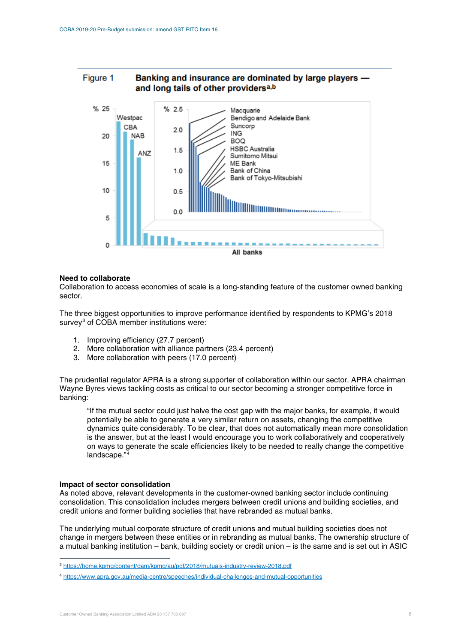#### Figure 1 Banking and insurance are dominated by large players and long tails of other providers<sup>a,b</sup>



#### **Need to collaborate**

Collaboration to access economies of scale is a long-standing feature of the customer owned banking sector.

The three biggest opportunities to improve performance identified by respondents to KPMG's 2018 survey<sup>[3](#page-5-0)</sup> of COBA member institutions were:

- 1. Improving efficiency (27.7 percent)
- 2. More collaboration with alliance partners (23.4 percent)
- 3. More collaboration with peers (17.0 percent)

The prudential regulator APRA is a strong supporter of collaboration within our sector. APRA chairman Wayne Byres views tackling costs as critical to our sector becoming a stronger competitive force in banking:

"If the mutual sector could just halve the cost gap with the major banks, for example, it would potentially be able to generate a very similar return on assets, changing the competitive dynamics quite considerably. To be clear, that does not automatically mean more consolidation is the answer, but at the least I would encourage you to work collaboratively and cooperatively on ways to generate the scale efficiencies likely to be needed to really change the competitive landscape."[4](#page-5-1)

#### **Impact of sector consolidation**

-

As noted above, relevant developments in the customer-owned banking sector include continuing consolidation. This consolidation includes mergers between credit unions and building societies, and credit unions and former building societies that have rebranded as mutual banks.

The underlying mutual corporate structure of credit unions and mutual building societies does not change in mergers between these entities or in rebranding as mutual banks. The ownership structure of a mutual banking institution – bank, building society or credit union – is the same and is set out in ASIC

<span id="page-5-0"></span><sup>3</sup> <https://home.kpmg/content/dam/kpmg/au/pdf/2018/mutuals-industry-review-2018.pdf>

<span id="page-5-1"></span><sup>4</sup> <https://www.apra.gov.au/media-centre/speeches/individual-challenges-and-mutual-opportunities>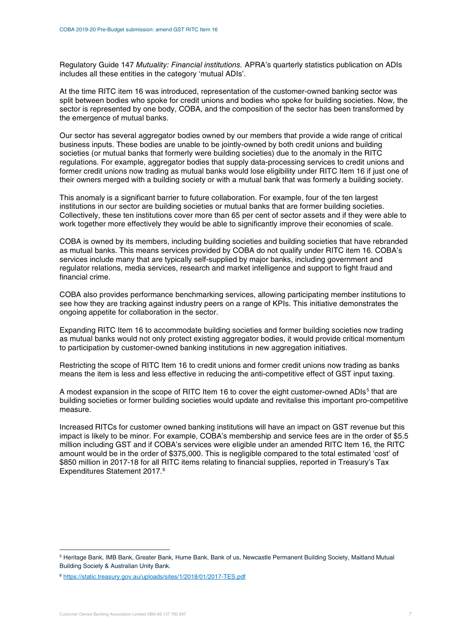Regulatory Guide 147 *Mutuality: Financial institutions.* APRA's quarterly statistics publication on ADIs includes all these entities in the category 'mutual ADIs'.

At the time RITC item 16 was introduced, representation of the customer-owned banking sector was split between bodies who spoke for credit unions and bodies who spoke for building societies. Now, the sector is represented by one body, COBA, and the composition of the sector has been transformed by the emergence of mutual banks.

Our sector has several aggregator bodies owned by our members that provide a wide range of critical business inputs. These bodies are unable to be jointly-owned by both credit unions and building societies (or mutual banks that formerly were building societies) due to the anomaly in the RITC regulations. For example, aggregator bodies that supply data-processing services to credit unions and former credit unions now trading as mutual banks would lose eligibility under RITC Item 16 if just one of their owners merged with a building society or with a mutual bank that was formerly a building society.

This anomaly is a significant barrier to future collaboration. For example, four of the ten largest institutions in our sector are building societies or mutual banks that are former building societies. Collectively, these ten institutions cover more than 65 per cent of sector assets and if they were able to work together more effectively they would be able to significantly improve their economies of scale.

COBA is owned by its members, including building societies and building societies that have rebranded as mutual banks. This means services provided by COBA do not qualify under RITC item 16. COBA's services include many that are typically self-supplied by major banks, including government and regulator relations, media services, research and market intelligence and support to fight fraud and financial crime.

COBA also provides performance benchmarking services, allowing participating member institutions to see how they are tracking against industry peers on a range of KPIs. This initiative demonstrates the ongoing appetite for collaboration in the sector.

Expanding RITC Item 16 to accommodate building societies and former building societies now trading as mutual banks would not only protect existing aggregator bodies, it would provide critical momentum to participation by customer-owned banking institutions in new aggregation initiatives.

Restricting the scope of RITC Item 16 to credit unions and former credit unions now trading as banks means the item is less and less effective in reducing the anti-competitive effect of GST input taxing.

A modest expansion in the scope of RITC Item 16 to cover the eight customer-owned ADIs<sup>[5](#page-6-0)</sup> that are building societies or former building societies would update and revitalise this important pro-competitive measure.

Increased RITCs for customer owned banking institutions will have an impact on GST revenue but this impact is likely to be minor. For example, COBA's membership and service fees are in the order of \$5.5 million including GST and if COBA's services were eligible under an amended RITC Item 16, the RITC amount would be in the order of \$375,000. This is negligible compared to the total estimated 'cost' of \$850 million in 2017-18 for all RITC items relating to financial supplies, reported in Treasury's Tax Expenditures Statement 2017. [6](#page-6-1)

-

<span id="page-6-0"></span><sup>5</sup> Heritage Bank, IMB Bank, Greater Bank, Hume Bank, Bank of us, Newcastle Permanent Building Society, Maitland Mutual Building Society & Australian Unity Bank.

<span id="page-6-1"></span><sup>6</sup> <https://static.treasury.gov.au/uploads/sites/1/2018/01/2017-TES.pdf>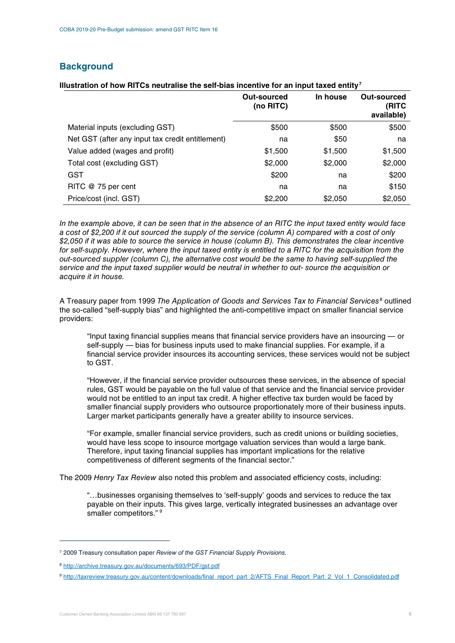# **Background**

|                                                  | Out-sourced<br>(no RITC) | In house | Out-sourced<br>(RITC<br>available) |
|--------------------------------------------------|--------------------------|----------|------------------------------------|
| Material inputs (excluding GST)                  | \$500                    | \$500    | \$500                              |
| Net GST (after any input tax credit entitlement) | na                       | \$50     | na                                 |
| Value added (wages and profit)                   | \$1,500                  | \$1,500  | \$1,500                            |
| Total cost (excluding GST)                       | \$2,000                  | \$2,000  | \$2,000                            |
| <b>GST</b>                                       | \$200                    | na       | \$200                              |
| RITC @ 75 per cent                               | na                       | na       | \$150                              |
| Price/cost (incl. GST)                           | \$2,200                  | \$2,050  | \$2,050                            |

### **Illustration of how RITCs neutralise the self-bias incentive for an input taxed entity[7](#page-7-0)**

*In the example above, it can be seen that in the absence of an RITC the input taxed entity would face a cost of \$2,200 if it out sourced the supply of the service (column A) compared with a cost of only \$2,050 if it was able to source the service in house (column B). This demonstrates the clear incentive for self-supply. However, where the input taxed entity is entitled to a RITC for the acquisition from the out-sourced suppler (column C), the alternative cost would be the same to having self-supplied the service and the input taxed supplier would be neutral in whether to out- source the acquisition or acquire it in house.*

A Treasury paper from 1999 *The Application of Goods and Services Tax to Financial Services*[8](#page-7-1) outlined the so-called "self-supply bias" and highlighted the anti-competitive impact on smaller financial service providers:

"Input taxing financial supplies means that financial service providers have an insourcing — or self-supply — bias for business inputs used to make financial supplies. For example, if a financial service provider insources its accounting services, these services would not be subject to GST.

"However, if the financial service provider outsources these services, in the absence of special rules, GST would be payable on the full value of that service and the financial service provider would not be entitled to an input tax credit. A higher effective tax burden would be faced by smaller financial supply providers who outsource proportionately more of their business inputs. Larger market participants generally have a greater ability to insource services.

"For example, smaller financial service providers, such as credit unions or building societies, would have less scope to insource mortgage valuation services than would a large bank. Therefore, input taxing financial supplies has important implications for the relative competitiveness of different segments of the financial sector."

The 2009 *Henry Tax Review* also noted this problem and associated efficiency costs, including:

"…businesses organising themselves to 'self-supply' goods and services to reduce the tax payable on their inputs. This gives large, vertically integrated businesses an advantage over smaller competitors." [9](#page-7-2)

-

<span id="page-7-0"></span><sup>7</sup> 2009 Treasury consultation paper *Review of the GST Financial Supply Provisions.*

<span id="page-7-1"></span><sup>8</sup> <http://archive.treasury.gov.au/documents/693/PDF/gst.pdf>

<span id="page-7-2"></span><sup>9</sup> [http://taxreview.treasury.gov.au/content/downloads/final\\_report\\_part\\_2/AFTS\\_Final\\_Report\\_Part\\_2\\_Vol\\_1\\_Consolidated.pdf](http://taxreview.treasury.gov.au/content/downloads/final_report_part_2/AFTS_Final_Report_Part_2_Vol_1_Consolidated.pdf)